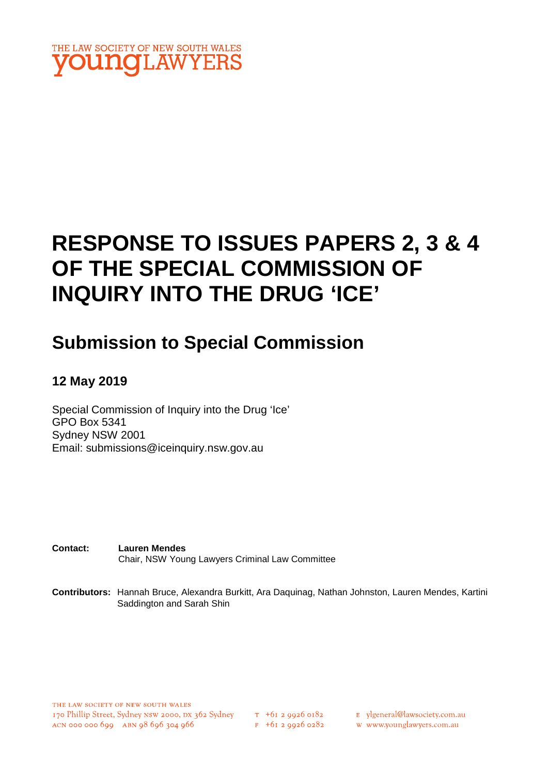

# **RESPONSE TO ISSUES PAPERS 2, 3 & 4 OF THE SPECIAL COMMISSION OF INQUIRY INTO THE DRUG 'ICE'**

## **Submission to Special Commission**

## **12 May 2019**

Special Commission of Inquiry into the Drug 'Ice' GPO Box 5341 Sydney NSW 2001 Email: submissions@iceinquiry.nsw.gov.au

**Contact: Lauren Mendes** Chair, NSW Young Lawyers Criminal Law Committee

**Contributors:** Hannah Bruce, Alexandra Burkitt, Ara Daquinag, Nathan Johnston, Lauren Mendes, Kartini Saddington and Sarah Shin

THE LAW SOCIETY OF NEW SOUTH WALES 170 Phillip Street, Sydney NSW 2000, DX 362 Sydney  $\frac{\pi + 61299260182}{\pi + 61299260182}$  E ylgeneral@lawsociety.com.au ACN 000 000 699 ABN 98 696 304 966

 $F$  +61 2 9926 0282

w www.younglawyers.com.au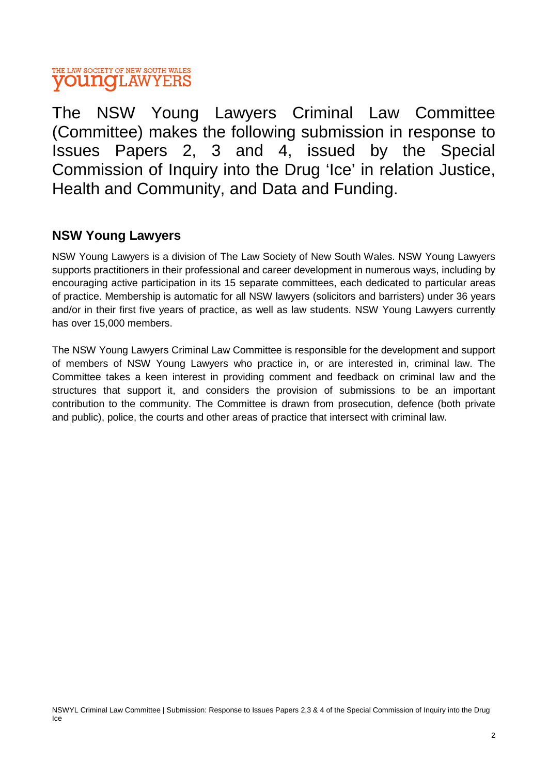The NSW Young Lawyers Criminal Law Committee (Committee) makes the following submission in response to Issues Papers 2, 3 and 4, issued by the Special Commission of Inquiry into the Drug 'Ice' in relation Justice, Health and Community, and Data and Funding.

## **NSW Young Lawyers**

NSW Young Lawyers is a division of The Law Society of New South Wales. NSW Young Lawyers supports practitioners in their professional and career development in numerous ways, including by encouraging active participation in its 15 separate committees, each dedicated to particular areas of practice. Membership is automatic for all NSW lawyers (solicitors and barristers) under 36 years and/or in their first five years of practice, as well as law students. NSW Young Lawyers currently has over 15,000 members.

The NSW Young Lawyers Criminal Law Committee is responsible for the development and support of members of NSW Young Lawyers who practice in, or are interested in, criminal law. The Committee takes a keen interest in providing comment and feedback on criminal law and the structures that support it, and considers the provision of submissions to be an important contribution to the community. The Committee is drawn from prosecution, defence (both private and public), police, the courts and other areas of practice that intersect with criminal law.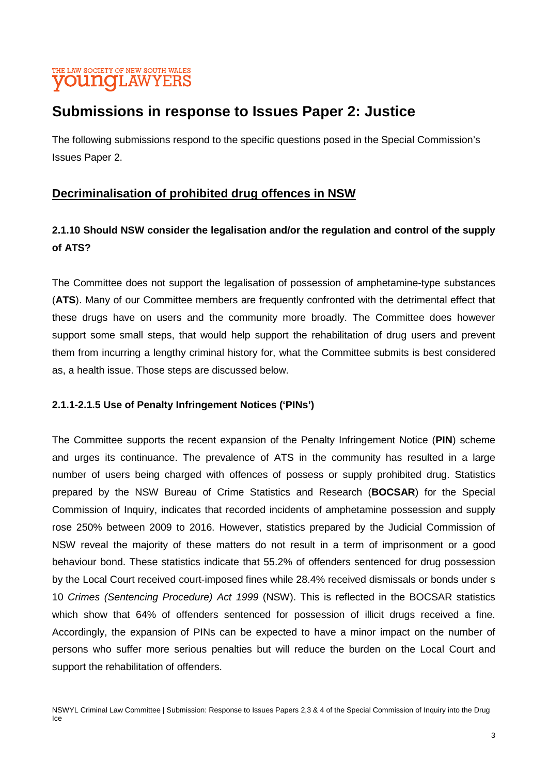## **Submissions in response to Issues Paper 2: Justice**

The following submissions respond to the specific questions posed in the Special Commission's Issues Paper 2.

## **Decriminalisation of prohibited drug offences in NSW**

## **2.1.10 Should NSW consider the legalisation and/or the regulation and control of the supply of ATS?**

The Committee does not support the legalisation of possession of amphetamine-type substances (**ATS**). Many of our Committee members are frequently confronted with the detrimental effect that these drugs have on users and the community more broadly. The Committee does however support some small steps, that would help support the rehabilitation of drug users and prevent them from incurring a lengthy criminal history for, what the Committee submits is best considered as, a health issue. Those steps are discussed below.

#### **2.1.1-2.1.5 Use of Penalty Infringement Notices ('PINs')**

The Committee supports the recent expansion of the Penalty Infringement Notice (**PIN**) scheme and urges its continuance. The prevalence of ATS in the community has resulted in a large number of users being charged with offences of possess or supply prohibited drug. Statistics prepared by the NSW Bureau of Crime Statistics and Research (**BOCSAR**) for the Special Commission of Inquiry, indicates that recorded incidents of amphetamine possession and supply rose 250% between 2009 to 2016. However, statistics prepared by the Judicial Commission of NSW reveal the majority of these matters do not result in a term of imprisonment or a good behaviour bond. These statistics indicate that 55.2% of offenders sentenced for drug possession by the Local Court received court-imposed fines while 28.4% received dismissals or bonds under s 10 *Crimes (Sentencing Procedure) Act 1999* (NSW). This is reflected in the BOCSAR statistics which show that 64% of offenders sentenced for possession of illicit drugs received a fine. Accordingly, the expansion of PINs can be expected to have a minor impact on the number of persons who suffer more serious penalties but will reduce the burden on the Local Court and support the rehabilitation of offenders.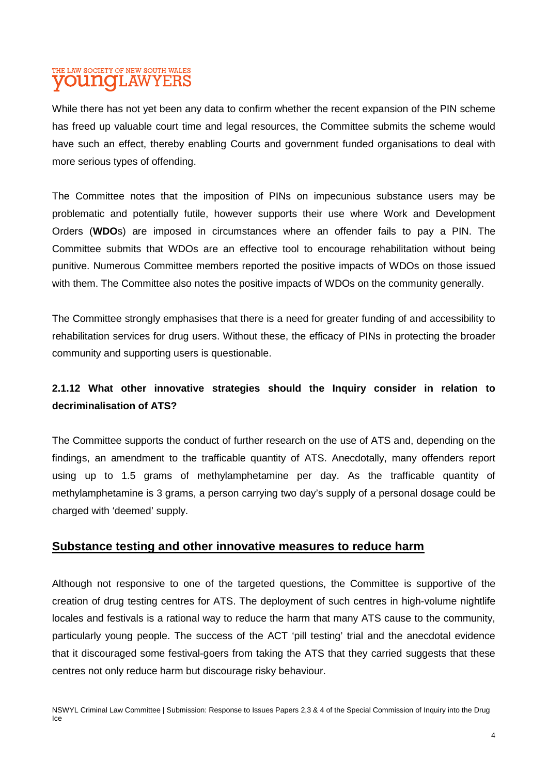While there has not yet been any data to confirm whether the recent expansion of the PIN scheme has freed up valuable court time and legal resources, the Committee submits the scheme would have such an effect, thereby enabling Courts and government funded organisations to deal with more serious types of offending.

The Committee notes that the imposition of PINs on impecunious substance users may be problematic and potentially futile, however supports their use where Work and Development Orders (**WDO**s) are imposed in circumstances where an offender fails to pay a PIN. The Committee submits that WDOs are an effective tool to encourage rehabilitation without being punitive. Numerous Committee members reported the positive impacts of WDOs on those issued with them. The Committee also notes the positive impacts of WDOs on the community generally.

The Committee strongly emphasises that there is a need for greater funding of and accessibility to rehabilitation services for drug users. Without these, the efficacy of PINs in protecting the broader community and supporting users is questionable.

## **2.1.12 What other innovative strategies should the Inquiry consider in relation to decriminalisation of ATS?**

The Committee supports the conduct of further research on the use of ATS and, depending on the findings, an amendment to the trafficable quantity of ATS. Anecdotally, many offenders report using up to 1.5 grams of methylamphetamine per day. As the trafficable quantity of methylamphetamine is 3 grams, a person carrying two day's supply of a personal dosage could be charged with 'deemed' supply.

#### **Substance testing and other innovative measures to reduce harm**

Although not responsive to one of the targeted questions, the Committee is supportive of the creation of drug testing centres for ATS. The deployment of such centres in high-volume nightlife locales and festivals is a rational way to reduce the harm that many ATS cause to the community, particularly young people. The success of the ACT 'pill testing' trial and the anecdotal evidence that it discouraged some festival-goers from taking the ATS that they carried suggests that these centres not only reduce harm but discourage risky behaviour.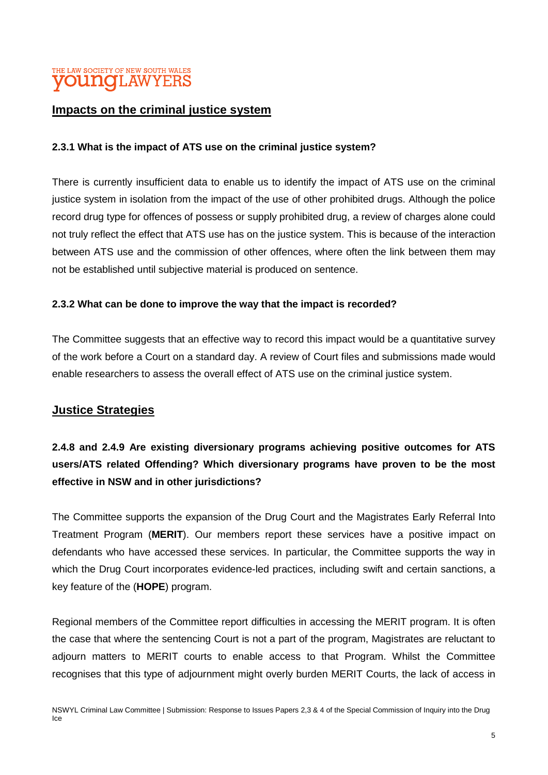#### **Impacts on the criminal justice system**

#### **2.3.1 What is the impact of ATS use on the criminal justice system?**

There is currently insufficient data to enable us to identify the impact of ATS use on the criminal justice system in isolation from the impact of the use of other prohibited drugs. Although the police record drug type for offences of possess or supply prohibited drug, a review of charges alone could not truly reflect the effect that ATS use has on the justice system. This is because of the interaction between ATS use and the commission of other offences, where often the link between them may not be established until subjective material is produced on sentence.

#### **2.3.2 What can be done to improve the way that the impact is recorded?**

The Committee suggests that an effective way to record this impact would be a quantitative survey of the work before a Court on a standard day. A review of Court files and submissions made would enable researchers to assess the overall effect of ATS use on the criminal justice system.

#### **Justice Strategies**

## **2.4.8 and 2.4.9 Are existing diversionary programs achieving positive outcomes for ATS users/ATS related Offending? Which diversionary programs have proven to be the most effective in NSW and in other jurisdictions?**

The Committee supports the expansion of the Drug Court and the Magistrates Early Referral Into Treatment Program (**MERIT**). Our members report these services have a positive impact on defendants who have accessed these services. In particular, the Committee supports the way in which the Drug Court incorporates evidence-led practices, including swift and certain sanctions, a key feature of the (**HOPE**) program.

Regional members of the Committee report difficulties in accessing the MERIT program. It is often the case that where the sentencing Court is not a part of the program, Magistrates are reluctant to adjourn matters to MERIT courts to enable access to that Program. Whilst the Committee recognises that this type of adjournment might overly burden MERIT Courts, the lack of access in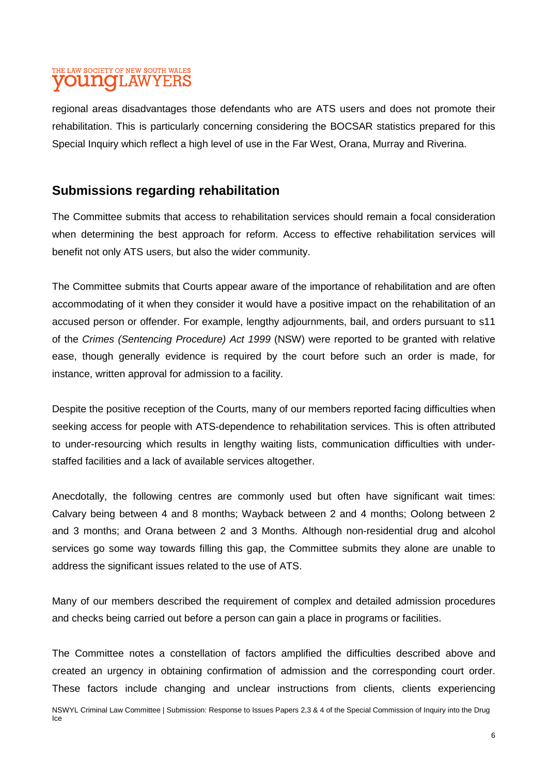regional areas disadvantages those defendants who are ATS users and does not promote their rehabilitation. This is particularly concerning considering the BOCSAR statistics prepared for this Special Inquiry which reflect a high level of use in the Far West, Orana, Murray and Riverina.

## **Submissions regarding rehabilitation**

The Committee submits that access to rehabilitation services should remain a focal consideration when determining the best approach for reform. Access to effective rehabilitation services will benefit not only ATS users, but also the wider community.

The Committee submits that Courts appear aware of the importance of rehabilitation and are often accommodating of it when they consider it would have a positive impact on the rehabilitation of an accused person or offender. For example, lengthy adjournments, bail, and orders pursuant to s11 of the *Crimes (Sentencing Procedure) Act 1999* (NSW) were reported to be granted with relative ease, though generally evidence is required by the court before such an order is made, for instance, written approval for admission to a facility.

Despite the positive reception of the Courts, many of our members reported facing difficulties when seeking access for people with ATS-dependence to rehabilitation services. This is often attributed to under-resourcing which results in lengthy waiting lists, communication difficulties with understaffed facilities and a lack of available services altogether.

Anecdotally, the following centres are commonly used but often have significant wait times: Calvary being between 4 and 8 months; Wayback between 2 and 4 months; Oolong between 2 and 3 months; and Orana between 2 and 3 Months. Although non-residential drug and alcohol services go some way towards filling this gap, the Committee submits they alone are unable to address the significant issues related to the use of ATS.

Many of our members described the requirement of complex and detailed admission procedures and checks being carried out before a person can gain a place in programs or facilities.

The Committee notes a constellation of factors amplified the difficulties described above and created an urgency in obtaining confirmation of admission and the corresponding court order. These factors include changing and unclear instructions from clients, clients experiencing

NSWYL Criminal Law Committee | Submission: Response to Issues Papers 2,3 & 4 of the Special Commission of Inquiry into the Drug Ice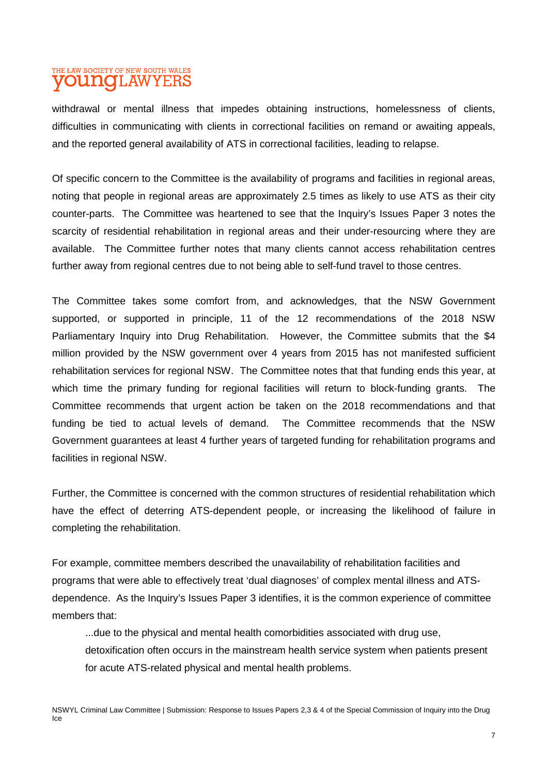withdrawal or mental illness that impedes obtaining instructions, homelessness of clients, difficulties in communicating with clients in correctional facilities on remand or awaiting appeals, and the reported general availability of ATS in correctional facilities, leading to relapse.

Of specific concern to the Committee is the availability of programs and facilities in regional areas, noting that people in regional areas are approximately 2.5 times as likely to use ATS as their city counter-parts. The Committee was heartened to see that the Inquiry's Issues Paper 3 notes the scarcity of residential rehabilitation in regional areas and their under-resourcing where they are available. The Committee further notes that many clients cannot access rehabilitation centres further away from regional centres due to not being able to self-fund travel to those centres.

The Committee takes some comfort from, and acknowledges, that the NSW Government supported, or supported in principle, 11 of the 12 recommendations of the 2018 NSW Parliamentary Inquiry into Drug Rehabilitation. However, the Committee submits that the \$4 million provided by the NSW government over 4 years from 2015 has not manifested sufficient rehabilitation services for regional NSW. The Committee notes that that funding ends this year, at which time the primary funding for regional facilities will return to block-funding grants. The Committee recommends that urgent action be taken on the 2018 recommendations and that funding be tied to actual levels of demand. The Committee recommends that the NSW Government guarantees at least 4 further years of targeted funding for rehabilitation programs and facilities in regional NSW.

Further, the Committee is concerned with the common structures of residential rehabilitation which have the effect of deterring ATS-dependent people, or increasing the likelihood of failure in completing the rehabilitation.

For example, committee members described the unavailability of rehabilitation facilities and programs that were able to effectively treat 'dual diagnoses' of complex mental illness and ATSdependence. As the Inquiry's Issues Paper 3 identifies, it is the common experience of committee members that:

...due to the physical and mental health comorbidities associated with drug use, detoxification often occurs in the mainstream health service system when patients present for acute ATS-related physical and mental health problems.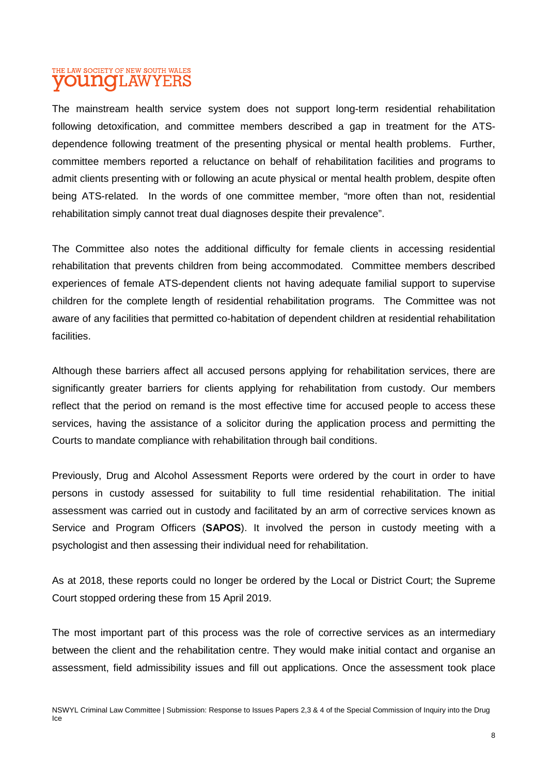The mainstream health service system does not support long-term residential rehabilitation following detoxification, and committee members described a gap in treatment for the ATSdependence following treatment of the presenting physical or mental health problems. Further, committee members reported a reluctance on behalf of rehabilitation facilities and programs to admit clients presenting with or following an acute physical or mental health problem, despite often being ATS-related. In the words of one committee member, "more often than not, residential rehabilitation simply cannot treat dual diagnoses despite their prevalence".

The Committee also notes the additional difficulty for female clients in accessing residential rehabilitation that prevents children from being accommodated. Committee members described experiences of female ATS-dependent clients not having adequate familial support to supervise children for the complete length of residential rehabilitation programs. The Committee was not aware of any facilities that permitted co-habitation of dependent children at residential rehabilitation facilities.

Although these barriers affect all accused persons applying for rehabilitation services, there are significantly greater barriers for clients applying for rehabilitation from custody. Our members reflect that the period on remand is the most effective time for accused people to access these services, having the assistance of a solicitor during the application process and permitting the Courts to mandate compliance with rehabilitation through bail conditions.

Previously, Drug and Alcohol Assessment Reports were ordered by the court in order to have persons in custody assessed for suitability to full time residential rehabilitation. The initial assessment was carried out in custody and facilitated by an arm of corrective services known as Service and Program Officers (**SAPOS**). It involved the person in custody meeting with a psychologist and then assessing their individual need for rehabilitation.

As at 2018, these reports could no longer be ordered by the Local or District Court; the Supreme Court stopped ordering these from 15 April 2019.

The most important part of this process was the role of corrective services as an intermediary between the client and the rehabilitation centre. They would make initial contact and organise an assessment, field admissibility issues and fill out applications. Once the assessment took place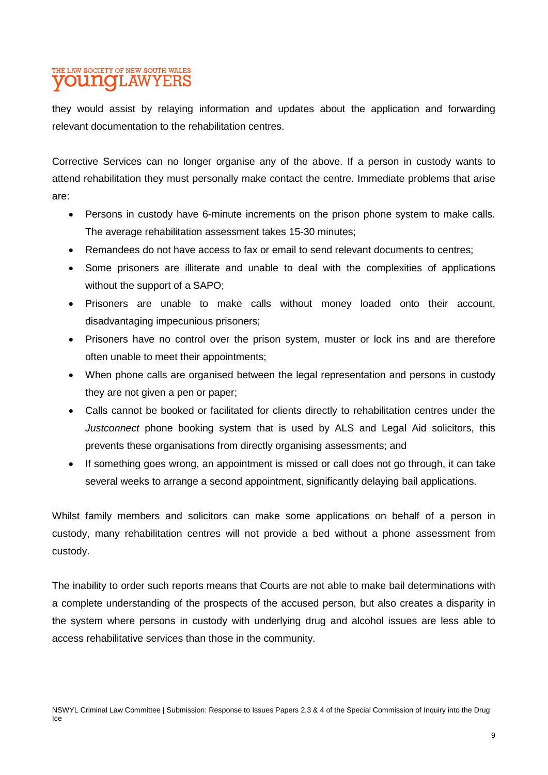they would assist by relaying information and updates about the application and forwarding relevant documentation to the rehabilitation centres.

Corrective Services can no longer organise any of the above. If a person in custody wants to attend rehabilitation they must personally make contact the centre. Immediate problems that arise are:

- Persons in custody have 6-minute increments on the prison phone system to make calls. The average rehabilitation assessment takes 15-30 minutes;
- Remandees do not have access to fax or email to send relevant documents to centres;
- Some prisoners are illiterate and unable to deal with the complexities of applications without the support of a SAPO;
- Prisoners are unable to make calls without money loaded onto their account, disadvantaging impecunious prisoners;
- Prisoners have no control over the prison system, muster or lock ins and are therefore often unable to meet their appointments;
- When phone calls are organised between the legal representation and persons in custody they are not given a pen or paper;
- Calls cannot be booked or facilitated for clients directly to rehabilitation centres under the *Justconnect* phone booking system that is used by ALS and Legal Aid solicitors, this prevents these organisations from directly organising assessments; and
- If something goes wrong, an appointment is missed or call does not go through, it can take several weeks to arrange a second appointment, significantly delaying bail applications.

Whilst family members and solicitors can make some applications on behalf of a person in custody, many rehabilitation centres will not provide a bed without a phone assessment from custody.

The inability to order such reports means that Courts are not able to make bail determinations with a complete understanding of the prospects of the accused person, but also creates a disparity in the system where persons in custody with underlying drug and alcohol issues are less able to access rehabilitative services than those in the community.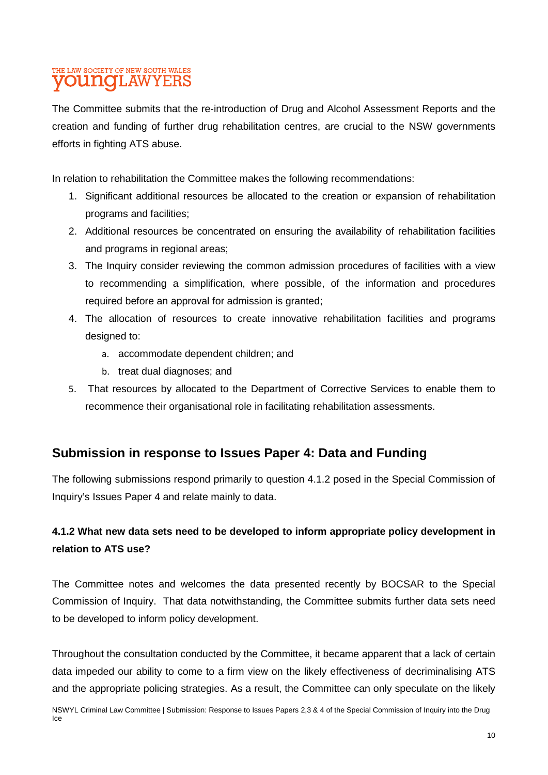The Committee submits that the re-introduction of Drug and Alcohol Assessment Reports and the creation and funding of further drug rehabilitation centres, are crucial to the NSW governments efforts in fighting ATS abuse.

In relation to rehabilitation the Committee makes the following recommendations:

- 1. Significant additional resources be allocated to the creation or expansion of rehabilitation programs and facilities;
- 2. Additional resources be concentrated on ensuring the availability of rehabilitation facilities and programs in regional areas;
- 3. The Inquiry consider reviewing the common admission procedures of facilities with a view to recommending a simplification, where possible, of the information and procedures required before an approval for admission is granted;
- 4. The allocation of resources to create innovative rehabilitation facilities and programs designed to:
	- a. accommodate dependent children; and
	- b. treat dual diagnoses; and
- 5. That resources by allocated to the Department of Corrective Services to enable them to recommence their organisational role in facilitating rehabilitation assessments.

### **Submission in response to Issues Paper 4: Data and Funding**

The following submissions respond primarily to question 4.1.2 posed in the Special Commission of Inquiry's Issues Paper 4 and relate mainly to data.

## **4.1.2 What new data sets need to be developed to inform appropriate policy development in relation to ATS use?**

The Committee notes and welcomes the data presented recently by BOCSAR to the Special Commission of Inquiry. That data notwithstanding, the Committee submits further data sets need to be developed to inform policy development.

Throughout the consultation conducted by the Committee, it became apparent that a lack of certain data impeded our ability to come to a firm view on the likely effectiveness of decriminalising ATS and the appropriate policing strategies. As a result, the Committee can only speculate on the likely

NSWYL Criminal Law Committee | Submission: Response to Issues Papers 2,3 & 4 of the Special Commission of Inquiry into the Drug Ice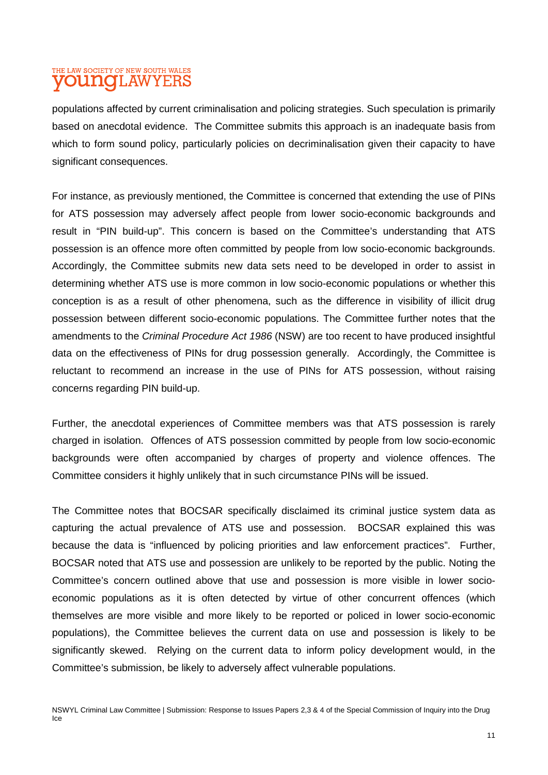populations affected by current criminalisation and policing strategies. Such speculation is primarily based on anecdotal evidence. The Committee submits this approach is an inadequate basis from which to form sound policy, particularly policies on decriminalisation given their capacity to have significant consequences.

For instance, as previously mentioned, the Committee is concerned that extending the use of PINs for ATS possession may adversely affect people from lower socio-economic backgrounds and result in "PIN build-up". This concern is based on the Committee's understanding that ATS possession is an offence more often committed by people from low socio-economic backgrounds. Accordingly, the Committee submits new data sets need to be developed in order to assist in determining whether ATS use is more common in low socio-economic populations or whether this conception is as a result of other phenomena, such as the difference in visibility of illicit drug possession between different socio-economic populations. The Committee further notes that the amendments to the *Criminal Procedure Act 1986* (NSW) are too recent to have produced insightful data on the effectiveness of PINs for drug possession generally. Accordingly, the Committee is reluctant to recommend an increase in the use of PINs for ATS possession, without raising concerns regarding PIN build-up.

Further, the anecdotal experiences of Committee members was that ATS possession is rarely charged in isolation. Offences of ATS possession committed by people from low socio-economic backgrounds were often accompanied by charges of property and violence offences. The Committee considers it highly unlikely that in such circumstance PINs will be issued.

The Committee notes that BOCSAR specifically disclaimed its criminal justice system data as capturing the actual prevalence of ATS use and possession. BOCSAR explained this was because the data is "influenced by policing priorities and law enforcement practices". Further, BOCSAR noted that ATS use and possession are unlikely to be reported by the public. Noting the Committee's concern outlined above that use and possession is more visible in lower socioeconomic populations as it is often detected by virtue of other concurrent offences (which themselves are more visible and more likely to be reported or policed in lower socio-economic populations), the Committee believes the current data on use and possession is likely to be significantly skewed. Relying on the current data to inform policy development would, in the Committee's submission, be likely to adversely affect vulnerable populations.

NSWYL Criminal Law Committee | Submission: Response to Issues Papers 2,3 & 4 of the Special Commission of Inquiry into the Drug Ice